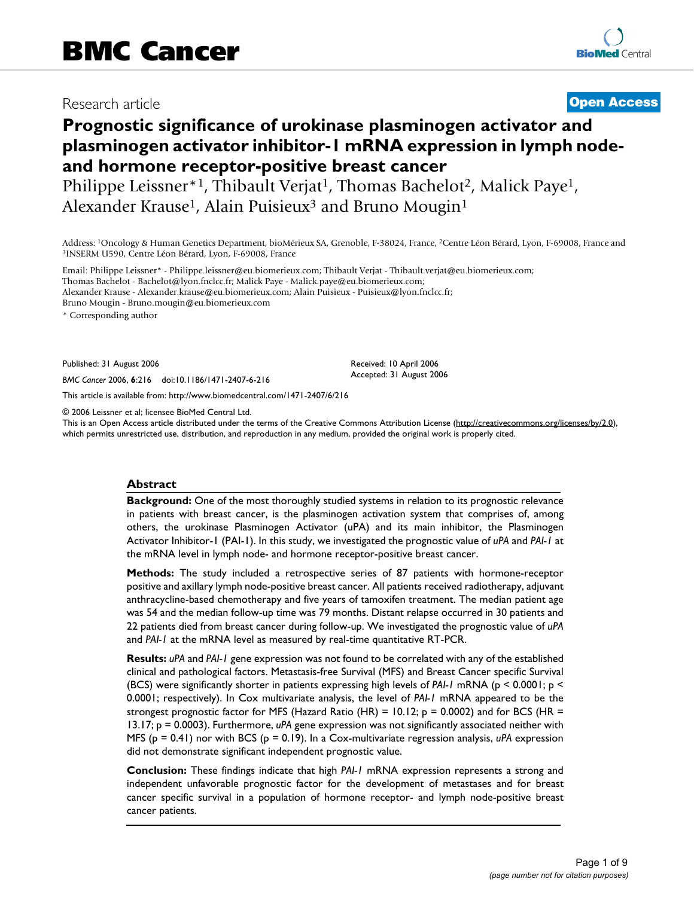# Research article **[Open Access](http://www.biomedcentral.com/info/about/charter/)**

# **Prognostic significance of urokinase plasminogen activator and plasminogen activator inhibitor-1 mRNA expression in lymph nodeand hormone receptor-positive breast cancer**

Philippe Leissner\*1, Thibault Verjat<sup>1</sup>, Thomas Bachelot<sup>2</sup>, Malick Paye<sup>1</sup>, Alexander Krause<sup>1</sup>, Alain Puisieux<sup>3</sup> and Bruno Mougin<sup>1</sup>

Address: <sup>1</sup>Oncology & Human Genetics Department, bioMérieux SA, Grenoble, F-38024, France, <sup>2</sup>Centre Léon Bérard, Lyon, F-69008, France and <sup>3</sup>INSERM U590, Centre Léon Bérard, Lyon, F-69008, France and

Email: Philippe Leissner\* - Philippe.leissner@eu.biomerieux.com; Thibault Verjat - Thibault.verjat@eu.biomerieux.com; Thomas Bachelot - Bachelot@lyon.fnclcc.fr; Malick Paye - Malick.paye@eu.biomerieux.com; Alexander Krause - Alexander.krause@eu.biomerieux.com; Alain Puisieux - Puisieux@lyon.fnclcc.fr;

Bruno Mougin - Bruno.mougin@eu.biomerieux.com

\* Corresponding author

Published: 31 August 2006

*BMC Cancer* 2006, **6**:216 doi:10.1186/1471-2407-6-216

[This article is available from: http://www.biomedcentral.com/1471-2407/6/216](http://www.biomedcentral.com/1471-2407/6/216)

© 2006 Leissner et al; licensee BioMed Central Ltd.

This is an Open Access article distributed under the terms of the Creative Commons Attribution License [\(http://creativecommons.org/licenses/by/2.0\)](http://creativecommons.org/licenses/by/2.0), which permits unrestricted use, distribution, and reproduction in any medium, provided the original work is properly cited.

Received: 10 April 2006 Accepted: 31 August 2006

#### **Abstract**

**Background:** One of the most thoroughly studied systems in relation to its prognostic relevance in patients with breast cancer, is the plasminogen activation system that comprises of, among others, the urokinase Plasminogen Activator (uPA) and its main inhibitor, the Plasminogen Activator Inhibitor-1 (PAI-1). In this study, we investigated the prognostic value of *uPA* and *PAI-1* at the mRNA level in lymph node- and hormone receptor-positive breast cancer.

**Methods:** The study included a retrospective series of 87 patients with hormone-receptor positive and axillary lymph node-positive breast cancer. All patients received radiotherapy, adjuvant anthracycline-based chemotherapy and five years of tamoxifen treatment. The median patient age was 54 and the median follow-up time was 79 months. Distant relapse occurred in 30 patients and 22 patients died from breast cancer during follow-up. We investigated the prognostic value of *uPA* and *PAI-1* at the mRNA level as measured by real-time quantitative RT-PCR.

**Results:** *uPA* and *PAI-1* gene expression was not found to be correlated with any of the established clinical and pathological factors. Metastasis-free Survival (MFS) and Breast Cancer specific Survival (BCS) were significantly shorter in patients expressing high levels of *PAI-1* mRNA (p < 0.0001; p < 0.0001; respectively). In Cox multivariate analysis, the level of *PAI-1* mRNA appeared to be the strongest prognostic factor for MFS (Hazard Ratio (HR) =  $10.12$ ; p = 0.0002) and for BCS (HR = 13.17; p = 0.0003). Furthermore, *uPA* gene expression was not significantly associated neither with MFS (p = 0.41) nor with BCS (p = 0.19). In a Cox-multivariate regression analysis, *uPA* expression did not demonstrate significant independent prognostic value.

**Conclusion:** These findings indicate that high *PAI-1* mRNA expression represents a strong and independent unfavorable prognostic factor for the development of metastases and for breast cancer specific survival in a population of hormone receptor- and lymph node-positive breast cancer patients.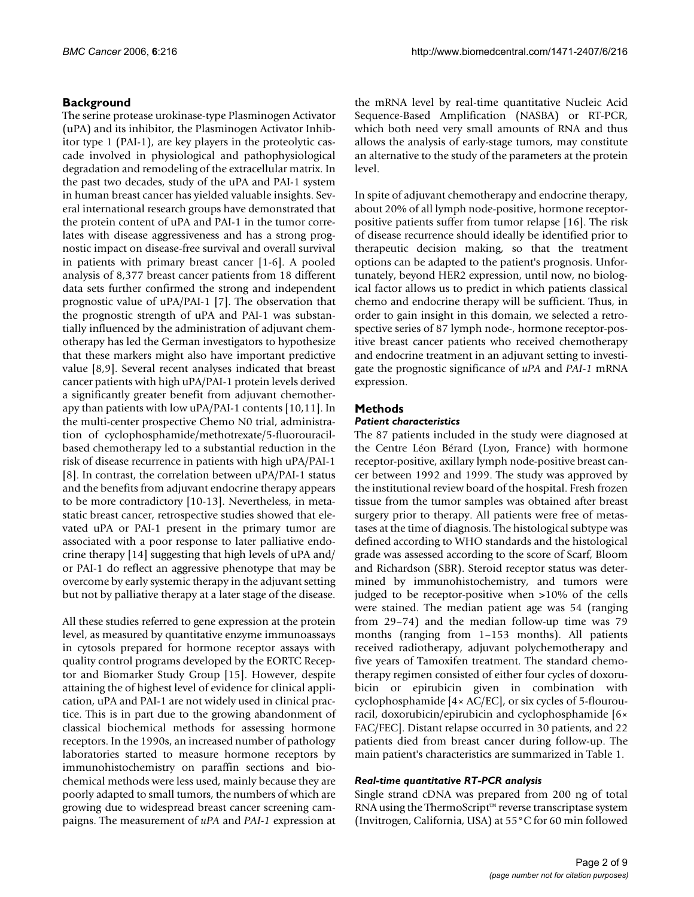# **Background**

The serine protease urokinase-type Plasminogen Activator (uPA) and its inhibitor, the Plasminogen Activator Inhibitor type 1 (PAI-1), are key players in the proteolytic cascade involved in physiological and pathophysiological degradation and remodeling of the extracellular matrix. In the past two decades, study of the uPA and PAI-1 system in human breast cancer has yielded valuable insights. Several international research groups have demonstrated that the protein content of uPA and PAI-1 in the tumor correlates with disease aggressiveness and has a strong prognostic impact on disease-free survival and overall survival in patients with primary breast cancer [1-6]. A pooled analysis of 8,377 breast cancer patients from 18 different data sets further confirmed the strong and independent prognostic value of uPA/PAI-1 [7]. The observation that the prognostic strength of uPA and PAI-1 was substantially influenced by the administration of adjuvant chemotherapy has led the German investigators to hypothesize that these markers might also have important predictive value [8,9]. Several recent analyses indicated that breast cancer patients with high uPA/PAI-1 protein levels derived a significantly greater benefit from adjuvant chemotherapy than patients with low uPA/PAI-1 contents [10,11]. In the multi-center prospective Chemo N0 trial, administration of cyclophosphamide/methotrexate/5-fluorouracilbased chemotherapy led to a substantial reduction in the risk of disease recurrence in patients with high uPA/PAI-1 [8]. In contrast, the correlation between uPA/PAI-1 status and the benefits from adjuvant endocrine therapy appears to be more contradictory [10-13]. Nevertheless, in metastatic breast cancer, retrospective studies showed that elevated uPA or PAI-1 present in the primary tumor are associated with a poor response to later palliative endocrine therapy [14] suggesting that high levels of uPA and/ or PAI-1 do reflect an aggressive phenotype that may be overcome by early systemic therapy in the adjuvant setting but not by palliative therapy at a later stage of the disease.

All these studies referred to gene expression at the protein level, as measured by quantitative enzyme immunoassays in cytosols prepared for hormone receptor assays with quality control programs developed by the EORTC Receptor and Biomarker Study Group [15]. However, despite attaining the of highest level of evidence for clinical application, uPA and PAI-1 are not widely used in clinical practice. This is in part due to the growing abandonment of classical biochemical methods for assessing hormone receptors. In the 1990s, an increased number of pathology laboratories started to measure hormone receptors by immunohistochemistry on paraffin sections and biochemical methods were less used, mainly because they are poorly adapted to small tumors, the numbers of which are growing due to widespread breast cancer screening campaigns. The measurement of *uPA* and *PAI-1* expression at

the mRNA level by real-time quantitative Nucleic Acid Sequence-Based Amplification (NASBA) or RT-PCR, which both need very small amounts of RNA and thus allows the analysis of early-stage tumors, may constitute an alternative to the study of the parameters at the protein level.

In spite of adjuvant chemotherapy and endocrine therapy, about 20% of all lymph node-positive, hormone receptorpositive patients suffer from tumor relapse [16]. The risk of disease recurrence should ideally be identified prior to therapeutic decision making, so that the treatment options can be adapted to the patient's prognosis. Unfortunately, beyond HER2 expression, until now, no biological factor allows us to predict in which patients classical chemo and endocrine therapy will be sufficient. Thus, in order to gain insight in this domain, we selected a retrospective series of 87 lymph node-, hormone receptor-positive breast cancer patients who received chemotherapy and endocrine treatment in an adjuvant setting to investigate the prognostic significance of *uPA* and *PAI-1* mRNA expression.

# **Methods**

# *Patient characteristics*

The 87 patients included in the study were diagnosed at the Centre Léon Bérard (Lyon, France) with hormone receptor-positive, axillary lymph node-positive breast cancer between 1992 and 1999. The study was approved by the institutional review board of the hospital. Fresh frozen tissue from the tumor samples was obtained after breast surgery prior to therapy. All patients were free of metastases at the time of diagnosis. The histological subtype was defined according to WHO standards and the histological grade was assessed according to the score of Scarf, Bloom and Richardson (SBR). Steroid receptor status was determined by immunohistochemistry, and tumors were judged to be receptor-positive when >10% of the cells were stained. The median patient age was 54 (ranging from 29–74) and the median follow-up time was 79 months (ranging from 1–153 months). All patients received radiotherapy, adjuvant polychemotherapy and five years of Tamoxifen treatment. The standard chemotherapy regimen consisted of either four cycles of doxorubicin or epirubicin given in combination with cyclophosphamide [4× AC/EC], or six cycles of 5-flourouracil, doxorubicin/epirubicin and cyclophosphamide [6× FAC/FEC]. Distant relapse occurred in 30 patients, and 22 patients died from breast cancer during follow-up. The main patient's characteristics are summarized in Table 1.

# *Real-time quantitative RT-PCR analysis*

Single strand cDNA was prepared from 200 ng of total RNA using the ThermoScript™ reverse transcriptase system (Invitrogen, California, USA) at 55°C for 60 min followed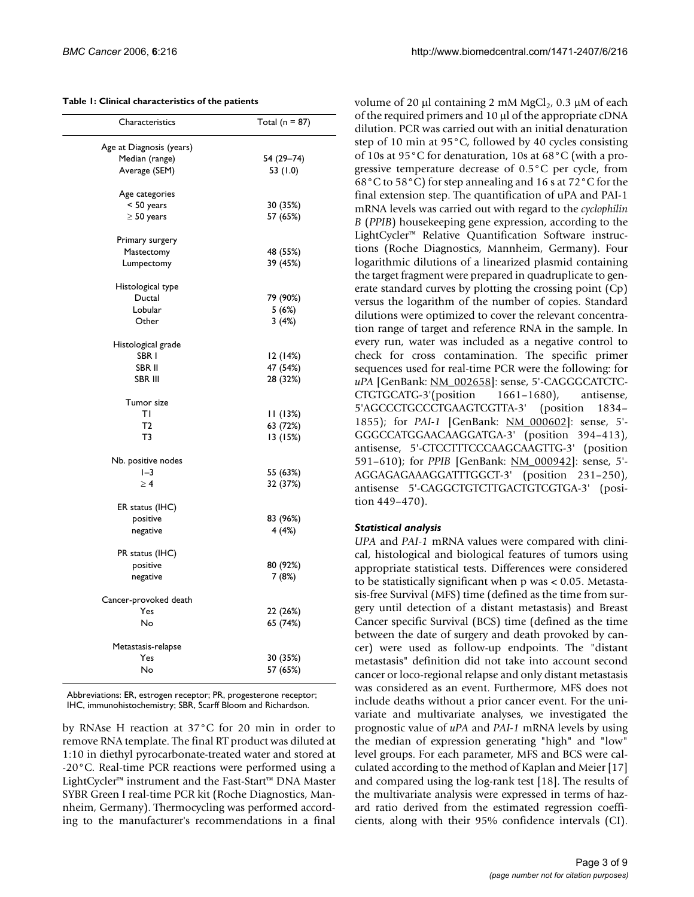#### **Table 1: Clinical characteristics of the patients**

| Characteristics          | Total (n = $87$ ) |
|--------------------------|-------------------|
| Age at Diagnosis (years) |                   |
| Median (range)           | 54 (29-74)        |
| Average (SEM)            | 53 (1.0)          |
|                          |                   |
| Age categories           |                   |
| $< 50$ years             | 30 (35%)          |
| $\geq$ 50 years          | 57 (65%)          |
| Primary surgery          |                   |
| Mastectomy               | 48 (55%)          |
| Lumpectomy               | 39 (45%)          |
|                          |                   |
| Histological type        |                   |
| Ductal                   | 79 (90%)          |
| Lobular                  | 5(6%)             |
| Other                    | 3(4%)             |
|                          |                   |
| Histological grade       |                   |
| SBR I                    | 12 (14%)          |
| SBR II                   | 47 (54%)          |
| SBR III                  | 28 (32%)          |
| Tumor size               |                   |
| ΤI                       | 11(13%)           |
| T <sub>2</sub>           | 63 (72%)          |
|                          |                   |
| T3                       | 13 (15%)          |
| Nb. positive nodes       |                   |
| $I - 3$                  | 55 (63%)          |
| $\geq 4$                 | 32 (37%)          |
| ER status (IHC)          |                   |
| positive                 | 83 (96%)          |
|                          |                   |
| negative                 | 4(4%)             |
| PR status (IHC)          |                   |
| positive                 | 80 (92%)          |
| negative                 | 7 (8%)            |
|                          |                   |
| Cancer-provoked death    |                   |
| Yes                      | 22 (26%)          |
| No                       | 65 (74%)          |
| Metastasis-relapse       |                   |
| Yes                      | 30 (35%)          |
| No                       | 57 (65%)          |
|                          |                   |

Abbreviations: ER, estrogen receptor; PR, progesterone receptor; IHC, immunohistochemistry; SBR, Scarff Bloom and Richardson.

by RNAse H reaction at 37°C for 20 min in order to remove RNA template. The final RT product was diluted at 1:10 in diethyl pyrocarbonate-treated water and stored at -20°C. Real-time PCR reactions were performed using a LightCycler™ instrument and the Fast-Start™ DNA Master SYBR Green I real-time PCR kit (Roche Diagnostics, Mannheim, Germany). Thermocycling was performed according to the manufacturer's recommendations in a final

volume of 20  $\mu$ l containing 2 mM MgCl<sub>2</sub>, 0.3  $\mu$ M of each of the required primers and 10 µl of the appropriate cDNA dilution. PCR was carried out with an initial denaturation step of 10 min at 95°C, followed by 40 cycles consisting of 10s at 95°C for denaturation, 10s at 68°C (with a progressive temperature decrease of 0.5°C per cycle, from 68°C to 58°C) for step annealing and 16 s at 72°C for the final extension step. The quantification of uPA and PAI-1 mRNA levels was carried out with regard to the *cyclophilin B* (*PPIB*) housekeeping gene expression, according to the LightCycler™ Relative Quantification Software instructions (Roche Diagnostics, Mannheim, Germany). Four logarithmic dilutions of a linearized plasmid containing the target fragment were prepared in quadruplicate to generate standard curves by plotting the crossing point (Cp) versus the logarithm of the number of copies. Standard dilutions were optimized to cover the relevant concentration range of target and reference RNA in the sample. In every run, water was included as a negative control to check for cross contamination. The specific primer sequences used for real-time PCR were the following: for *uPA* [GenBank: [NM\\_002658](http://www.ncbi.nih.gov/entrez/query.fcgi?db=Nucleotide&cmd=search&term=NM_002658)]: sense, 5'-CAGGGCATCTC-CTGTGCATG-3'(position 1661–1680), antisense, 5'AGCCCTGCCCTGAAGTCGTTA-3' (position 1834– 1855); for *PAI-1* [GenBank: [NM\\_000602](http://www.ncbi.nih.gov/entrez/query.fcgi?db=Nucleotide&cmd=search&term=NM_000602)]: sense, 5'- GGGCCATGGAACAAGGATGA-3' (position 394–413), antisense, 5'-CTCCTTTCCCAAGCAAGTTG-3' (position 591–610); for *PPIB* [GenBank: [NM\\_000942](http://www.ncbi.nih.gov/entrez/query.fcgi?db=Nucleotide&cmd=search&term=NM_000942)]: sense, 5'- AGGAGAGAAAGGATTTGGCT-3' (position 231–250), antisense 5'-CAGGCTGTCTTGACTGTCGTGA-3' (position 449–470).

# *Statistical analysis*

*UPA* and *PAI-1* mRNA values were compared with clinical, histological and biological features of tumors using appropriate statistical tests. Differences were considered to be statistically significant when p was < 0.05. Metastasis-free Survival (MFS) time (defined as the time from surgery until detection of a distant metastasis) and Breast Cancer specific Survival (BCS) time (defined as the time between the date of surgery and death provoked by cancer) were used as follow-up endpoints. The "distant metastasis" definition did not take into account second cancer or loco-regional relapse and only distant metastasis was considered as an event. Furthermore, MFS does not include deaths without a prior cancer event. For the univariate and multivariate analyses, we investigated the prognostic value of *uPA* and *PAI-1* mRNA levels by using the median of expression generating "high" and "low" level groups. For each parameter, MFS and BCS were calculated according to the method of Kaplan and Meier [17] and compared using the log-rank test [18]. The results of the multivariate analysis were expressed in terms of hazard ratio derived from the estimated regression coefficients, along with their 95% confidence intervals (CI).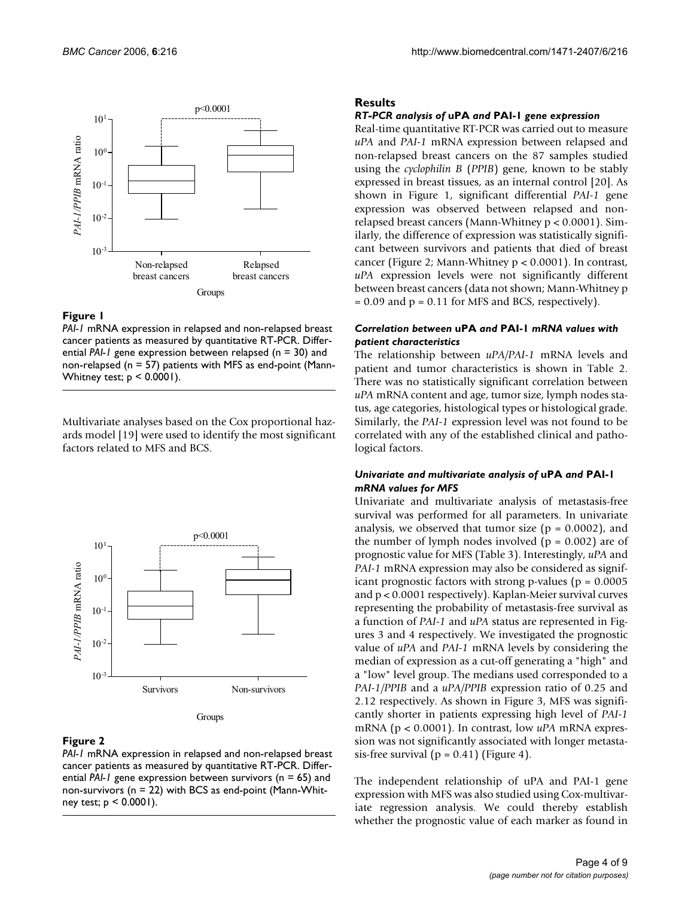

# **Figure 1**

*PAI-1* mRNA expression in relapsed and non-relapsed breast cancer patients as measured by quantitative RT-PCR. Differential *PAI-1* gene expression between relapsed (n = 30) and non-relapsed ( $n = 57$ ) patients with MFS as end-point (Mann-Whitney test;  $p < 0.0001$ ).

Multivariate analyses based on the Cox proportional hazards model [19] were used to identify the most significant factors related to MFS and BCS.



# **Figure 2**

*PAI-1* mRNA expression in relapsed and non-relapsed breast cancer patients as measured by quantitative RT-PCR. Differential *PAI-1* gene expression between survivors (n = 65) and non-survivors (n = 22) with BCS as end-point (Mann-Whitney test;  $p < 0.0001$ ).

# **Results**

# *RT-PCR analysis of* **uPA** *and* **PAI-1** *gene expression*

Real-time quantitative RT-PCR was carried out to measure *uPA* and *PAI-1* mRNA expression between relapsed and non-relapsed breast cancers on the 87 samples studied using the *cyclophilin B* (*PPIB*) gene, known to be stably expressed in breast tissues, as an internal control [20]. As shown in Figure 1, significant differential *PAI-1* gene expression was observed between relapsed and nonrelapsed breast cancers (Mann-Whitney p < 0.0001). Similarly, the difference of expression was statistically significant between survivors and patients that died of breast cancer (Figure 2; Mann-Whitney p < 0.0001). In contrast, *uPA* expression levels were not significantly different between breast cancers (data not shown; Mann-Whitney p  $= 0.09$  and  $p = 0.11$  for MFS and BCS, respectively).

# *Correlation between* **uPA** *and* **PAI-1** *mRNA values with patient characteristics*

The relationship between *uPA/PAI-1* mRNA levels and patient and tumor characteristics is shown in Table 2. There was no statistically significant correlation between *uPA* mRNA content and age, tumor size, lymph nodes status, age categories, histological types or histological grade. Similarly, the *PAI-1* expression level was not found to be correlated with any of the established clinical and pathological factors.

# *Univariate and multivariate analysis of* **uPA** *and* **PAI-1**  *mRNA values for MFS*

Univariate and multivariate analysis of metastasis-free survival was performed for all parameters. In univariate analysis, we observed that tumor size  $(p = 0.0002)$ , and the number of lymph nodes involved  $(p = 0.002)$  are of prognostic value for MFS (Table 3). Interestingly, *uPA* and *PAI-1* mRNA expression may also be considered as significant prognostic factors with strong p-values ( $p = 0.0005$ ) and p < 0.0001 respectively). Kaplan-Meier survival curves representing the probability of metastasis-free survival as a function of *PAI-1* and *uPA* status are represented in Figures 3 and 4 respectively. We investigated the prognostic value of *uPA* and *PAI-1* mRNA levels by considering the median of expression as a cut-off generating a "high" and a "low" level group. The medians used corresponded to a *PAI-1/PPIB* and a *uPA/PPIB* expression ratio of 0.25 and 2.12 respectively. As shown in Figure 3, MFS was significantly shorter in patients expressing high level of *PAI-1* mRNA (p < 0.0001). In contrast, low *uPA* mRNA expression was not significantly associated with longer metastasis-free survival ( $p = 0.41$ ) (Figure 4).

The independent relationship of uPA and PAI-1 gene expression with MFS was also studied using Cox-multivariate regression analysis. We could thereby establish whether the prognostic value of each marker as found in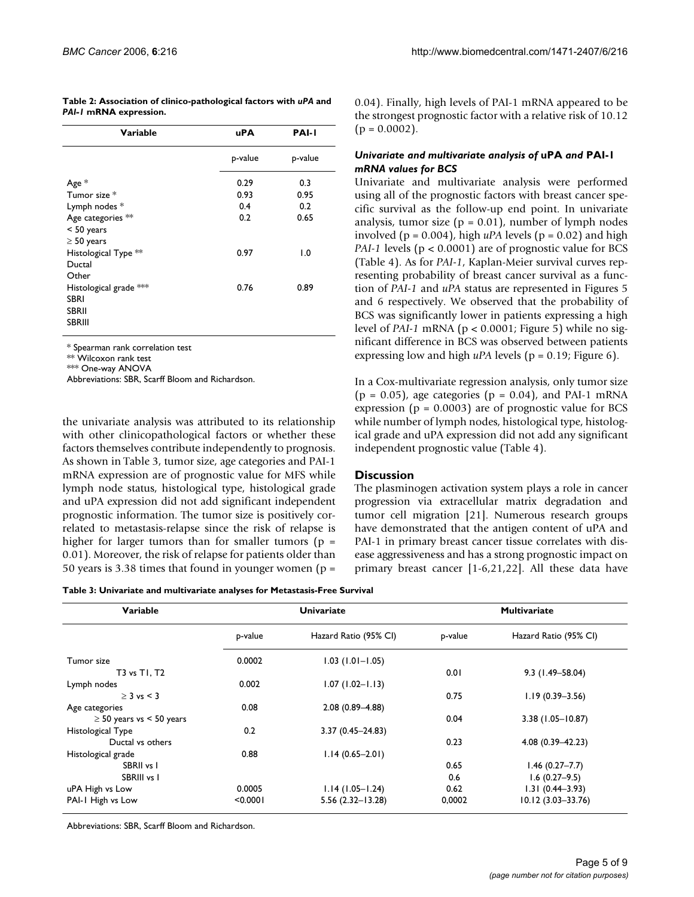**Table 2: Association of clinico-pathological factors with** *uPA* **and**  *PAI-1* **mRNA expression.**

| Variable               | uPA     | <b>PAI-I</b>     |
|------------------------|---------|------------------|
|                        | p-value | p-value          |
| Age *                  | 0.29    | 0.3              |
| Tumor size *           | 0.93    | 0.95             |
| Lymph nodes *          | 0.4     | 0.2              |
| Age categories **      | 0.2     | 0.65             |
| $< 50$ years           |         |                  |
| $\geq$ 50 years        |         |                  |
| Histological Type **   | 0.97    | $\overline{1.0}$ |
| Ductal                 |         |                  |
| Other                  |         |                  |
| Histological grade *** | 0.76    | 0.89             |
| <b>SBRI</b>            |         |                  |
| SBRII                  |         |                  |
| SBRIII                 |         |                  |
|                        |         |                  |

\* Spearman rank correlation test

\*\* Wilcoxon rank test

\*\*\* One-way ANOVA

Abbreviations: SBR, Scarff Bloom and Richardson.

the univariate analysis was attributed to its relationship with other clinicopathological factors or whether these factors themselves contribute independently to prognosis. As shown in Table 3, tumor size, age categories and PAI-1 mRNA expression are of prognostic value for MFS while lymph node status, histological type, histological grade and uPA expression did not add significant independent prognostic information. The tumor size is positively correlated to metastasis-relapse since the risk of relapse is higher for larger tumors than for smaller tumors ( $p =$ 0.01). Moreover, the risk of relapse for patients older than 50 years is 3.38 times that found in younger women ( $p =$ 

**Table 3: Univariate and multivariate analyses for Metastasis-Free Survival**

| Variable                      | <b>Univariate</b> |                       | <b>Multivariate</b> |                       |
|-------------------------------|-------------------|-----------------------|---------------------|-----------------------|
|                               | p-value           | Hazard Ratio (95% CI) | p-value             | Hazard Ratio (95% CI) |
| Tumor size                    | 0.0002            | $1.03(1.01 - 1.05)$   |                     |                       |
| T3 vs T1, T2                  |                   |                       | 0.01                | $9.3$ (1.49-58.04)    |
| Lymph nodes                   | 0.002             | $1.07(1.02 - 1.13)$   |                     |                       |
| $>$ 3 vs < 3                  |                   |                       | 0.75                | $1.19(0.39 - 3.56)$   |
| Age categories                | 0.08              | $2.08(0.89 - 4.88)$   |                     |                       |
| $\geq$ 50 years vs < 50 years |                   |                       | 0.04                | $3.38(1.05 - 10.87)$  |
| Histological Type             | 0.2               | $3.37(0.45 - 24.83)$  |                     |                       |
| Ductal vs others              |                   |                       | 0.23                | 4.08 (0.39-42.23)     |
| Histological grade            | 0.88              | $1.14(0.65 - 2.01)$   |                     |                       |
| SBRII vs I                    |                   |                       | 0.65                | $1.46(0.27 - 7.7)$    |
| SBRIII vs I                   |                   |                       | 0.6                 | $1.6(0.27-9.5)$       |
| uPA High vs Low               | 0.0005            | $1.14(1.05 - 1.24)$   | 0.62                | $1.31(0.44 - 3.93)$   |

PAI-1 High vs Low <0.0001 5.56 (2.32–13.28) 0,0002 10.12 (3.03–33.76)

Abbreviations: SBR, Scarff Bloom and Richardson.

0.04). Finally, high levels of PAI-1 mRNA appeared to be the strongest prognostic factor with a relative risk of 10.12  $(p = 0.0002)$ .

#### *Univariate and multivariate analysis of* **uPA** *and* **PAI-1**  *mRNA values for BCS*

Univariate and multivariate analysis were performed using all of the prognostic factors with breast cancer specific survival as the follow-up end point. In univariate analysis, tumor size ( $p = 0.01$ ), number of lymph nodes involved ( $p = 0.004$ ), high  $uPA$  levels ( $p = 0.02$ ) and high *PAI-1* levels (p < 0.0001) are of prognostic value for BCS (Table 4). As for *PAI-1*, Kaplan-Meier survival curves representing probability of breast cancer survival as a function of *PAI-1* and *uPA* status are represented in Figures 5 and 6 respectively. We observed that the probability of BCS was significantly lower in patients expressing a high level of *PAI-1* mRNA (p < 0.0001; Figure 5) while no significant difference in BCS was observed between patients expressing low and high *uPA* levels (p = 0.19; Figure 6).

In a Cox-multivariate regression analysis, only tumor size  $(p = 0.05)$ , age categories  $(p = 0.04)$ , and PAI-1 mRNA expression ( $p = 0.0003$ ) are of prognostic value for BCS while number of lymph nodes, histological type, histological grade and uPA expression did not add any significant independent prognostic value (Table 4).

#### **Discussion**

The plasminogen activation system plays a role in cancer progression via extracellular matrix degradation and tumor cell migration [21]. Numerous research groups have demonstrated that the antigen content of uPA and PAI-1 in primary breast cancer tissue correlates with disease aggressiveness and has a strong prognostic impact on primary breast cancer [1-6,21,22]. All these data have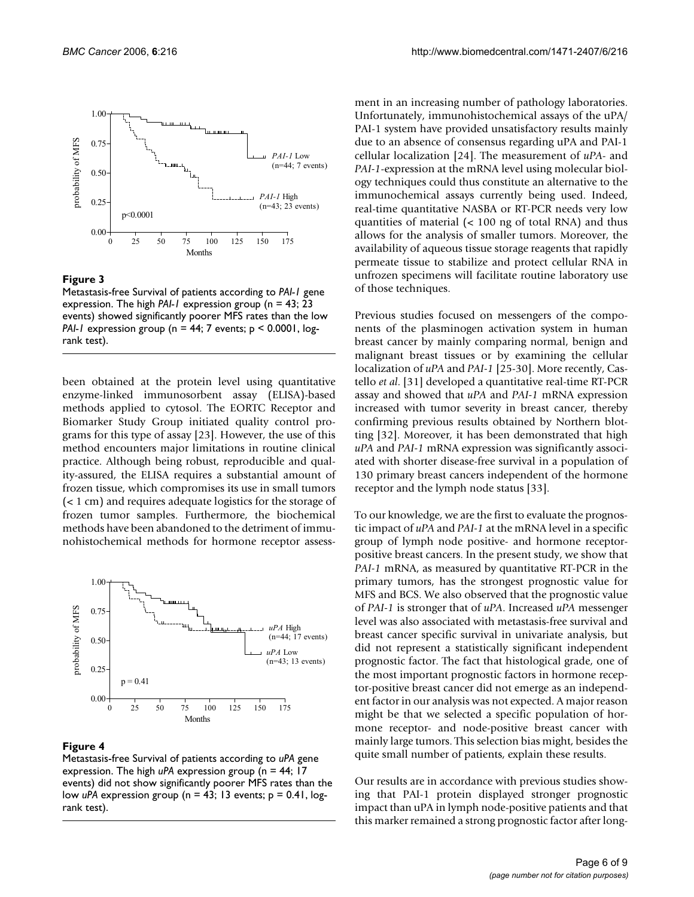

#### **Figure 3**

Metastasis-free Survival of patients according to *PAI-1* gene expression. The high *PAI-1* expression group (n = 43; 23 events) showed significantly poorer MFS rates than the low *PAI-1* expression group (n = 44; 7 events; p < 0.0001, logrank test).

been obtained at the protein level using quantitative enzyme-linked immunosorbent assay (ELISA)-based methods applied to cytosol. The EORTC Receptor and Biomarker Study Group initiated quality control programs for this type of assay [23]. However, the use of this method encounters major limitations in routine clinical practice. Although being robust, reproducible and quality-assured, the ELISA requires a substantial amount of frozen tissue, which compromises its use in small tumors (< 1 cm) and requires adequate logistics for the storage of frozen tumor samples. Furthermore, the biochemical methods have been abandoned to the detriment of immunohistochemical methods for hormone receptor assess-



#### Figure 4

Metastasis-free Survival of patients according to *uPA* gene expression. The high *uPA* expression group (n = 44; 17 events) did not show significantly poorer MFS rates than the low *uPA* expression group (n = 43; 13 events; p = 0.41, logrank test).

ment in an increasing number of pathology laboratories. Unfortunately, immunohistochemical assays of the uPA/ PAI-1 system have provided unsatisfactory results mainly due to an absence of consensus regarding uPA and PAI-1 cellular localization [24]. The measurement of *uPA*- and *PAI-1*-expression at the mRNA level using molecular biology techniques could thus constitute an alternative to the immunochemical assays currently being used. Indeed, real-time quantitative NASBA or RT-PCR needs very low quantities of material (< 100 ng of total RNA) and thus allows for the analysis of smaller tumors. Moreover, the availability of aqueous tissue storage reagents that rapidly permeate tissue to stabilize and protect cellular RNA in unfrozen specimens will facilitate routine laboratory use of those techniques.

Previous studies focused on messengers of the components of the plasminogen activation system in human breast cancer by mainly comparing normal, benign and malignant breast tissues or by examining the cellular localization of *uPA* and *PAI-1* [25-30]. More recently, Castello *et al*. [31] developed a quantitative real-time RT-PCR assay and showed that *uPA* and *PAI-1* mRNA expression increased with tumor severity in breast cancer, thereby confirming previous results obtained by Northern blotting [32]. Moreover, it has been demonstrated that high *uPA* and *PAI-1* mRNA expression was significantly associated with shorter disease-free survival in a population of 130 primary breast cancers independent of the hormone receptor and the lymph node status [33].

To our knowledge, we are the first to evaluate the prognostic impact of *uPA* and *PAI-1* at the mRNA level in a specific group of lymph node positive- and hormone receptorpositive breast cancers. In the present study, we show that *PAI-1* mRNA, as measured by quantitative RT-PCR in the primary tumors, has the strongest prognostic value for MFS and BCS. We also observed that the prognostic value of *PAI-1* is stronger that of *uPA*. Increased *uPA* messenger level was also associated with metastasis-free survival and breast cancer specific survival in univariate analysis, but did not represent a statistically significant independent prognostic factor. The fact that histological grade, one of the most important prognostic factors in hormone receptor-positive breast cancer did not emerge as an independent factor in our analysis was not expected. A major reason might be that we selected a specific population of hormone receptor- and node-positive breast cancer with mainly large tumors. This selection bias might, besides the quite small number of patients, explain these results.

Our results are in accordance with previous studies showing that PAI-1 protein displayed stronger prognostic impact than uPA in lymph node-positive patients and that this marker remained a strong prognostic factor after long-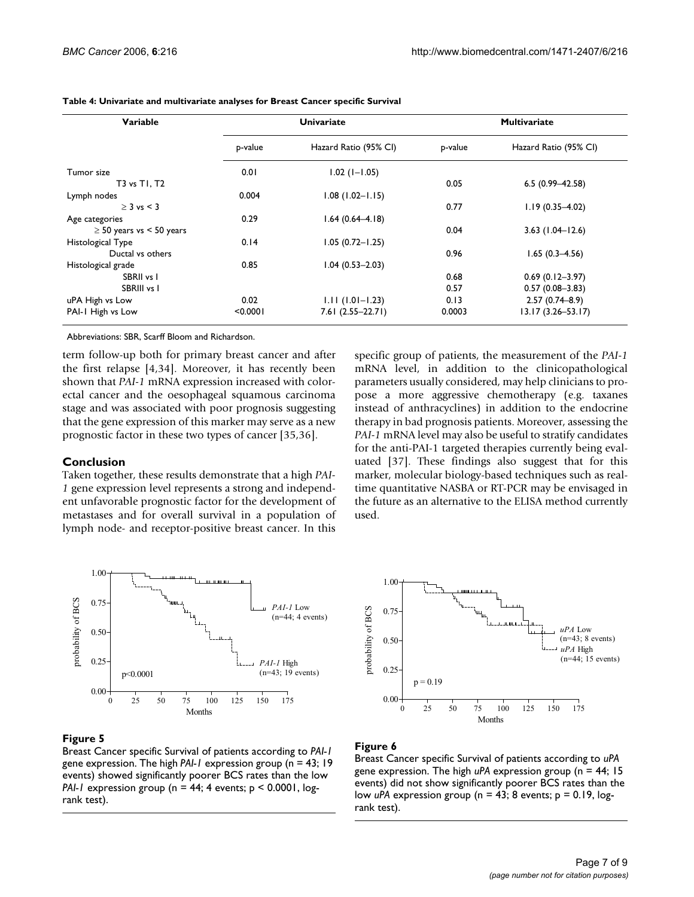| Variable                      | <b>Univariate</b> |                       | <b>Multivariate</b> |                       |
|-------------------------------|-------------------|-----------------------|---------------------|-----------------------|
|                               | p-value           | Hazard Ratio (95% CI) | p-value             | Hazard Ratio (95% CI) |
| Tumor size                    | 0.01              | $1.02$ ( $1 - 1.05$ ) |                     |                       |
| T3 vs T1, T2                  |                   |                       | 0.05                | $6.5(0.99 - 42.58)$   |
| Lymph nodes                   | 0.004             | $1.08(1.02 - 1.15)$   |                     |                       |
| $\geq$ 3 vs < 3               |                   |                       | 0.77                | $1.19(0.35 - 4.02)$   |
| Age categories                | 0.29              | $1.64(0.64 - 4.18)$   |                     |                       |
| $\geq$ 50 years vs < 50 years |                   |                       | 0.04                | $3.63$ (1.04–12.6)    |
| Histological Type             | 0.14              | $1.05(0.72 - 1.25)$   |                     |                       |
| Ductal vs others              |                   |                       | 0.96                | $1.65(0.3-4.56)$      |
| Histological grade            | 0.85              | $1.04(0.53 - 2.03)$   |                     |                       |
| SBRII vs I                    |                   |                       | 0.68                | $0.69(0.12 - 3.97)$   |
| SBRIII vs I                   |                   |                       | 0.57                | $0.57(0.08 - 3.83)$   |
| uPA High vs Low               | 0.02              | $1.11(1.01 - 1.23)$   | 0.13                | $2.57(0.74 - 8.9)$    |
| PAI-1 High vs Low             | < 0.0001          | $7.61(2.55 - 22.71)$  | 0.0003              | $13.17(3.26 - 53.17)$ |

**Table 4: Univariate and multivariate analyses for Breast Cancer specific Survival**

Abbreviations: SBR, Scarff Bloom and Richardson.

term follow-up both for primary breast cancer and after the first relapse [4,34]. Moreover, it has recently been shown that *PAI-1* mRNA expression increased with colorectal cancer and the oesophageal squamous carcinoma stage and was associated with poor prognosis suggesting that the gene expression of this marker may serve as a new prognostic factor in these two types of cancer [35,36].

#### **Conclusion**

Taken together, these results demonstrate that a high *PAI-1* gene expression level represents a strong and independent unfavorable prognostic factor for the development of metastases and for overall survival in a population of lymph node- and receptor-positive breast cancer. In this specific group of patients, the measurement of the *PAI-1* mRNA level, in addition to the clinicopathological parameters usually considered, may help clinicians to propose a more aggressive chemotherapy (e.g. taxanes instead of anthracyclines) in addition to the endocrine therapy in bad prognosis patients. Moreover, assessing the *PAI-1* mRNA level may also be useful to stratify candidates for the anti-PAI-1 targeted therapies currently being evaluated [37]. These findings also suggest that for this marker, molecular biology-based techniques such as realtime quantitative NASBA or RT-PCR may be envisaged in the future as an alternative to the ELISA method currently used.



#### **Figure 5**

Breast Cancer specific Survival of patients according to *PAI-1*  gene expression. The high *PAI-1* expression group (n = 43; 19 events) showed significantly poorer BCS rates than the low *PAI-1* expression group (n = 44; 4 events; p < 0.0001, logrank test).



#### Figure 6

Breast Cancer specific Survival of patients according to *uPA*  gene expression. The high *uPA* expression group (n = 44; 15 events) did not show significantly poorer BCS rates than the low *uPA* expression group (n = 43; 8 events; p = 0.19, logrank test).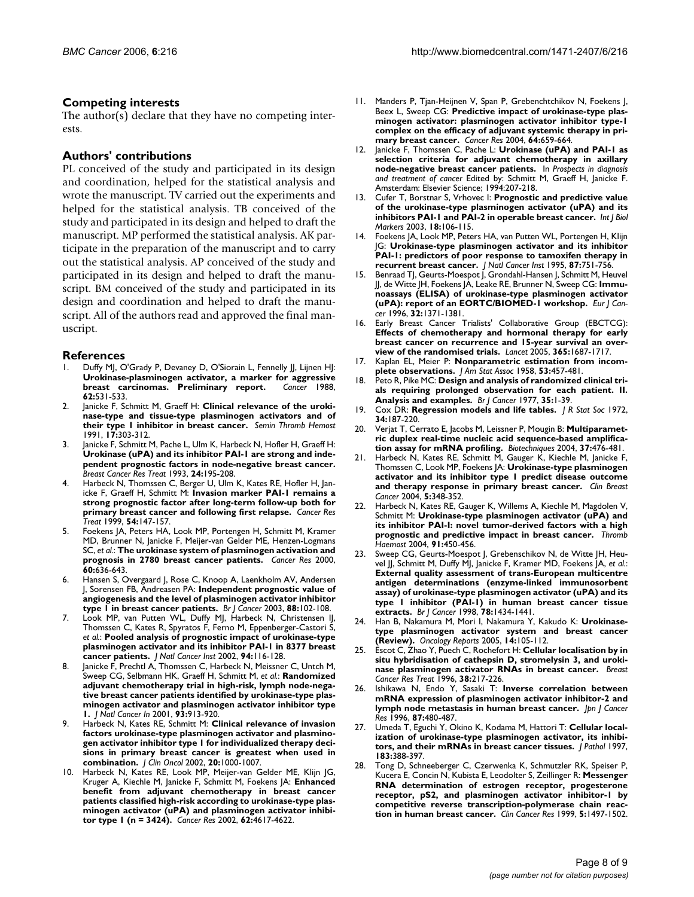#### **Competing interests**

The author(s) declare that they have no competing interests.

# **Authors' contributions**

PL conceived of the study and participated in its design and coordination, helped for the statistical analysis and wrote the manuscript. TV carried out the experiments and helped for the statistical analysis. TB conceived of the study and participated in its design and helped to draft the manuscript. MP performed the statistical analysis. AK participate in the preparation of the manuscript and to carry out the statistical analysis. AP conceived of the study and participated in its design and helped to draft the manuscript. BM conceived of the study and participated in its design and coordination and helped to draft the manuscript. All of the authors read and approved the final manuscript.

#### **References**

- Duffy MJ, O'Grady P, Devaney D, O'Siorain L, Fennelly JJ, Lijnen HJ: **[Urokinase-plasminogen activator, a marker for aggressive](http://www.ncbi.nlm.nih.gov/entrez/query.fcgi?cmd=Retrieve&db=PubMed&dopt=Abstract&list_uids=3134120) [breast carcinomas. Preliminary report.](http://www.ncbi.nlm.nih.gov/entrez/query.fcgi?cmd=Retrieve&db=PubMed&dopt=Abstract&list_uids=3134120)** *Cancer* 1988, **62:**531-533.
- 2. Janicke F, Schmitt M, Graeff H: **[Clinical relevance of the uroki](http://www.ncbi.nlm.nih.gov/entrez/query.fcgi?cmd=Retrieve&db=PubMed&dopt=Abstract&list_uids=1796300)[nase-type and tissue-type plasminogen activators and of](http://www.ncbi.nlm.nih.gov/entrez/query.fcgi?cmd=Retrieve&db=PubMed&dopt=Abstract&list_uids=1796300) [their type 1 inhibitor in breast cancer.](http://www.ncbi.nlm.nih.gov/entrez/query.fcgi?cmd=Retrieve&db=PubMed&dopt=Abstract&list_uids=1796300)** *Semin Thromb Hemost* 1991, **17:**303-312.
- 3. Janicke F, Schmitt M, Pache L, Ulm K, Harbeck N, Hofler H, Graeff H: **Urokinase (uPA) and its inhibitor PAI-1 are strong and inde[pendent prognostic factors in node-negative breast cancer.](http://www.ncbi.nlm.nih.gov/entrez/query.fcgi?cmd=Retrieve&db=PubMed&dopt=Abstract&list_uids=8435475)** *Breast Cancer Res Treat* 1993, **24:**195-208.
- Harbeck N, Thomssen C, Berger U, Ulm K, Kates RE, Hofler H, Janicke F, Graeff H, Schmitt M: **Invasion marker PAI-1 remains a strong prognostic factor after long-term follow-up both for primary breast cancer and following first relapse.** *Cancer Res Treat* 1999, **54:**147-157.
- 5. Foekens JA, Peters HA, Look MP, Portengen H, Schmitt M, Kramer MD, Brunner N, Janicke F, Meijer-van Gelder ME, Henzen-Logmans SC, *et al.*: **[The urokinase system of plasminogen activation and](http://www.ncbi.nlm.nih.gov/entrez/query.fcgi?cmd=Retrieve&db=PubMed&dopt=Abstract&list_uids=10676647) [prognosis in 2780 breast cancer patients.](http://www.ncbi.nlm.nih.gov/entrez/query.fcgi?cmd=Retrieve&db=PubMed&dopt=Abstract&list_uids=10676647)** *Cancer Res* 2000, **60:**636-643.
- 6. Hansen S, Overgaard J, Rose C, Knoop A, Laenkholm AV, Andersen J, Sorensen FB, Andreasen PA: **[Independent prognostic value of](http://www.ncbi.nlm.nih.gov/entrez/query.fcgi?cmd=Retrieve&db=PubMed&dopt=Abstract&list_uids=12556967) [angiogenesis and the level of plasminogen activator inhibitor](http://www.ncbi.nlm.nih.gov/entrez/query.fcgi?cmd=Retrieve&db=PubMed&dopt=Abstract&list_uids=12556967) [type 1 in breast cancer patients.](http://www.ncbi.nlm.nih.gov/entrez/query.fcgi?cmd=Retrieve&db=PubMed&dopt=Abstract&list_uids=12556967)** *Br J Cancer* 2003, **88:**102-108.
- 7. Look MP, van Putten WL, Duffy MJ, Harbeck N, Christensen IJ, Thomssen C, Kates R, Spyratos F, Ferno M, Eppenberger-Castori S, *et al.*: **[Pooled analysis of prognostic impact of urokinase-type](http://www.ncbi.nlm.nih.gov/entrez/query.fcgi?cmd=Retrieve&db=PubMed&dopt=Abstract&list_uids=11792750) [plasminogen activator and its inhibitor PAI-1 in 8377 breast](http://www.ncbi.nlm.nih.gov/entrez/query.fcgi?cmd=Retrieve&db=PubMed&dopt=Abstract&list_uids=11792750) [cancer patients.](http://www.ncbi.nlm.nih.gov/entrez/query.fcgi?cmd=Retrieve&db=PubMed&dopt=Abstract&list_uids=11792750)** *J Natl Cancer Inst* 2002, **94:**116-128.
- Janicke F, Prechtl A, Thomssen C, Harbeck N, Meissner C, Untch M, Sweep CG, Selbmann HK, Graeff H, Schmitt M, *et al.*: **Randomized adjuvant chemotherapy trial in high-risk, lymph node-negative breast cancer patients identified by urokinase-type plasminogen activator and plasminogen activator inhibitor type 1.** *J Natl Cancer In* 2001, **93:**913-920.
- 9. Harbeck N, Kates RE, Schmitt M: **[Clinical relevance of invasion](http://www.ncbi.nlm.nih.gov/entrez/query.fcgi?cmd=Retrieve&db=PubMed&dopt=Abstract&list_uids=11844823) factors urokinase-type plasminogen activator and plasminogen activator inhibitor type 1 for individualized therapy deci[sions in primary breast cancer is greatest when used in](http://www.ncbi.nlm.nih.gov/entrez/query.fcgi?cmd=Retrieve&db=PubMed&dopt=Abstract&list_uids=11844823) [combination.](http://www.ncbi.nlm.nih.gov/entrez/query.fcgi?cmd=Retrieve&db=PubMed&dopt=Abstract&list_uids=11844823)** *J Clin Oncol* 2002, **20:**1000-1007.
- 10. Harbeck N, Kates RE, Look MP, Meijer-van Gelder ME, Klijn JG, Kruger A, Kiechle M, Janicke F, Schmitt M, Foekens JA: **[Enhanced](http://www.ncbi.nlm.nih.gov/entrez/query.fcgi?cmd=Retrieve&db=PubMed&dopt=Abstract&list_uids=12183417) benefit from adjuvant chemotherapy in breast cancer [patients classified high-risk according to urokinase-type plas](http://www.ncbi.nlm.nih.gov/entrez/query.fcgi?cmd=Retrieve&db=PubMed&dopt=Abstract&list_uids=12183417)minogen activator (uPA) and plasminogen activator inhibi[tor type 1 \(n = 3424\).](http://www.ncbi.nlm.nih.gov/entrez/query.fcgi?cmd=Retrieve&db=PubMed&dopt=Abstract&list_uids=12183417)** *Cancer Res* 2002, **62:**4617-4622.
- 11. Manders P, Tjan-Heijnen V, Span P, Grebenchtchikov N, Foekens J, Beex L, Sweep CG: **[Predictive impact of urokinase-type plas](http://www.ncbi.nlm.nih.gov/entrez/query.fcgi?cmd=Retrieve&db=PubMed&dopt=Abstract&list_uids=14744782)minogen activator: plasminogen activator inhibitor type-1 [complex on the efficacy of adjuvant systemic therapy in pri](http://www.ncbi.nlm.nih.gov/entrez/query.fcgi?cmd=Retrieve&db=PubMed&dopt=Abstract&list_uids=14744782)[mary breast cancer.](http://www.ncbi.nlm.nih.gov/entrez/query.fcgi?cmd=Retrieve&db=PubMed&dopt=Abstract&list_uids=14744782)** *Cancer Res* 2004, **64:**659-664.
- 12. Janicke F, Thomssen C, Pache L: **Urokinase (uPA) and PAI-1 as selection criteria for adjuvant chemotherapy in axillary node-negative breast cancer patients.** In *Prospects in diagnosis and treatment of cancer* Edited by: Schmitt M, Graeff H, Janicke F. Amsterdam: Elsevier Science; 1994:207-218.
- 13. Cufer T, Borstnar S, Vrhovec I: **[Prognostic and predictive value](http://www.ncbi.nlm.nih.gov/entrez/query.fcgi?cmd=Retrieve&db=PubMed&dopt=Abstract&list_uids=12841679) [of the urokinase-type plasminogen activator \(uPA\) and its](http://www.ncbi.nlm.nih.gov/entrez/query.fcgi?cmd=Retrieve&db=PubMed&dopt=Abstract&list_uids=12841679) [inhibitors PAI-1 and PAI-2 in operable breast cancer.](http://www.ncbi.nlm.nih.gov/entrez/query.fcgi?cmd=Retrieve&db=PubMed&dopt=Abstract&list_uids=12841679)** *Int J Biol Markers* 2003, **18:**106-115.
- 14. Foekens JA, Look MP, Peters HA, van Putten WL, Portengen H, Klijn JG: **[Urokinase-type plasminogen activator and its inhibitor](http://www.ncbi.nlm.nih.gov/entrez/query.fcgi?cmd=Retrieve&db=PubMed&dopt=Abstract&list_uids=7563153) [PAI-1: predictors of poor response to tamoxifen therapy in](http://www.ncbi.nlm.nih.gov/entrez/query.fcgi?cmd=Retrieve&db=PubMed&dopt=Abstract&list_uids=7563153) [recurrent breast cancer.](http://www.ncbi.nlm.nih.gov/entrez/query.fcgi?cmd=Retrieve&db=PubMed&dopt=Abstract&list_uids=7563153)** *J Natl Cancer Inst* 1995, **87:**751-756.
- 15. Benraad TJ, Geurts-Moespot J, Grondahl-Hansen J, Schmitt M, Heuvel JJ, de Witte JH, Foekens JA, Leake RE, Brunner N, Sweep CG: **Immunoassays (ELISA) of urokinase-type plasminogen activator (uPA): report of an EORTC/BIOMED-1 workshop.** *Eur J Cancer* 1996, **32:**1371-1381.
- 16. Early Breast Cancer Trialists' Collaborative Group (EBCTCG): **Effects of chemotherapy and hormonal therapy for early [breast cancer on recurrence and 15-year survival an over](http://www.ncbi.nlm.nih.gov/entrez/query.fcgi?cmd=Retrieve&db=PubMed&dopt=Abstract&list_uids=15894097)[view of the randomised trials.](http://www.ncbi.nlm.nih.gov/entrez/query.fcgi?cmd=Retrieve&db=PubMed&dopt=Abstract&list_uids=15894097)** *Lancet* 2005, **365:**1687-1717.
- 17. Kaplan EL, Meier P: **Nonparametric estimation from incomplete observations.** *J Am Stat Assoc* 1958, **53:**457-481.
- 18. Peto R, Pike MC: **[Design and analysis of randomized clinical tri](http://www.ncbi.nlm.nih.gov/entrez/query.fcgi?cmd=Retrieve&db=PubMed&dopt=Abstract&list_uids=831755)[als requiring prolonged observation for each patient. II.](http://www.ncbi.nlm.nih.gov/entrez/query.fcgi?cmd=Retrieve&db=PubMed&dopt=Abstract&list_uids=831755) [Analysis and examples.](http://www.ncbi.nlm.nih.gov/entrez/query.fcgi?cmd=Retrieve&db=PubMed&dopt=Abstract&list_uids=831755)** *Br J Cancer* 1977, **35:**1-39.
- 19. Cox DR: **Regression models and life tables.** *J R Stat Soc* 1972, **34:**187-220.
- 20. Verjat T, Cerrato E, Jacobs M, Leissner P, Mougin B: **[Multiparamet](http://www.ncbi.nlm.nih.gov/entrez/query.fcgi?cmd=Retrieve&db=PubMed&dopt=Abstract&list_uids=15470903)[ric duplex real-time nucleic acid sequence-based amplifica](http://www.ncbi.nlm.nih.gov/entrez/query.fcgi?cmd=Retrieve&db=PubMed&dopt=Abstract&list_uids=15470903)[tion assay for mRNA profiling.](http://www.ncbi.nlm.nih.gov/entrez/query.fcgi?cmd=Retrieve&db=PubMed&dopt=Abstract&list_uids=15470903)** *Biotechniques* 2004, **37:**476-481.
- 21. Harbeck N, Kates RE, Schmitt M, Gauger K, Kiechle M, Janicke F, Thomssen C, Look MP, Foekens JA: **[Urokinase-type plasminogen](http://www.ncbi.nlm.nih.gov/entrez/query.fcgi?cmd=Retrieve&db=PubMed&dopt=Abstract&list_uids=15585071) [activator and its inhibitor type 1 predict disease outcome](http://www.ncbi.nlm.nih.gov/entrez/query.fcgi?cmd=Retrieve&db=PubMed&dopt=Abstract&list_uids=15585071) [and therapy response in primary breast cancer.](http://www.ncbi.nlm.nih.gov/entrez/query.fcgi?cmd=Retrieve&db=PubMed&dopt=Abstract&list_uids=15585071)** *Clin Breast Cancer* 2004, **5:**348-352.
- 22. Harbeck N, Kates RE, Gauger K, Willems A, Kiechle M, Magdolen V, Schmitt M: **[Urokinase-type plasminogen activator \(uPA\) and](http://www.ncbi.nlm.nih.gov/entrez/query.fcgi?cmd=Retrieve&db=PubMed&dopt=Abstract&list_uids=14983219) [its inhibitor PAI-I: novel tumor-derived factors with a high](http://www.ncbi.nlm.nih.gov/entrez/query.fcgi?cmd=Retrieve&db=PubMed&dopt=Abstract&list_uids=14983219) [prognostic and predictive impact in breast cancer.](http://www.ncbi.nlm.nih.gov/entrez/query.fcgi?cmd=Retrieve&db=PubMed&dopt=Abstract&list_uids=14983219)** *Thromb Haemost* 2004, **91:**450-456.
- 23. Sweep CG, Geurts-Moespot J, Grebenschikov N, de Witte JH, Heuvel JJ, Schmitt M, Duffy MJ, Janicke F, Kramer MD, Foekens JA, *et al.*: **External quality assessment of trans-European multicentre [antigen determinations \(enzyme-linked immunosorbent](http://www.ncbi.nlm.nih.gov/entrez/query.fcgi?cmd=Retrieve&db=PubMed&dopt=Abstract&list_uids=9836475) assay) of urokinase-type plasminogen activator (uPA) and its type 1 inhibitor (PAI-1) in human breast cancer tissue [extracts.](http://www.ncbi.nlm.nih.gov/entrez/query.fcgi?cmd=Retrieve&db=PubMed&dopt=Abstract&list_uids=9836475)** *Br J Cancer* 1998, **78:**1434-1441.
- 24. Han B, Nakamura M, Mori I, Nakamura Y, Kakudo K: **[Urokinase](http://www.ncbi.nlm.nih.gov/entrez/query.fcgi?cmd=Retrieve&db=PubMed&dopt=Abstract&list_uids=15944776)[type plasminogen activator system and breast cancer](http://www.ncbi.nlm.nih.gov/entrez/query.fcgi?cmd=Retrieve&db=PubMed&dopt=Abstract&list_uids=15944776) [\(Review\).](http://www.ncbi.nlm.nih.gov/entrez/query.fcgi?cmd=Retrieve&db=PubMed&dopt=Abstract&list_uids=15944776)** *Oncology Reports* 2005, **14:**105-112.
- 25. Escot C, Zhao Y, Puech C, Rochefort H: **[Cellular localisation by in](http://www.ncbi.nlm.nih.gov/entrez/query.fcgi?cmd=Retrieve&db=PubMed&dopt=Abstract&list_uids=8861840) [situ hybridisation of cathepsin D, stromelysin 3, and uroki](http://www.ncbi.nlm.nih.gov/entrez/query.fcgi?cmd=Retrieve&db=PubMed&dopt=Abstract&list_uids=8861840)[nase plasminogen activator RNAs in breast cancer.](http://www.ncbi.nlm.nih.gov/entrez/query.fcgi?cmd=Retrieve&db=PubMed&dopt=Abstract&list_uids=8861840)** *Breast Cancer Res Treat* 1996, **38:**217-226.
- 26. Ishikawa N, Endo Y, Sasaki T: **[Inverse correlation between](http://www.ncbi.nlm.nih.gov/entrez/query.fcgi?cmd=Retrieve&db=PubMed&dopt=Abstract&list_uids=8641985) [mRNA expression of plasminogen activator inhibitor-2 and](http://www.ncbi.nlm.nih.gov/entrez/query.fcgi?cmd=Retrieve&db=PubMed&dopt=Abstract&list_uids=8641985) [lymph node metastasis in human breast cancer.](http://www.ncbi.nlm.nih.gov/entrez/query.fcgi?cmd=Retrieve&db=PubMed&dopt=Abstract&list_uids=8641985)** *Jpn J Cancer Res* 1996, **87:**480-487.
- 27. Umeda T, Eguchi Y, Okino K, Kodama M, Hattori T: **[Cellular local](http://www.ncbi.nlm.nih.gov/entrez/query.fcgi?cmd=Retrieve&db=PubMed&dopt=Abstract&list_uids=9496254)[ization of urokinase-type plasminogen activator, its inhibi](http://www.ncbi.nlm.nih.gov/entrez/query.fcgi?cmd=Retrieve&db=PubMed&dopt=Abstract&list_uids=9496254)[tors, and their mRNAs in breast cancer tissues.](http://www.ncbi.nlm.nih.gov/entrez/query.fcgi?cmd=Retrieve&db=PubMed&dopt=Abstract&list_uids=9496254)** *J Pathol* 1997, **183:**388-397.
- 28. Tong D, Schneeberger C, Czerwenka K, Schmutzler RK, Speiser P, Kucera E, Concin N, Kubista E, Leodolter S, Zeillinger R: **[Messenger](http://www.ncbi.nlm.nih.gov/entrez/query.fcgi?cmd=Retrieve&db=PubMed&dopt=Abstract&list_uids=10389938) RNA determination of estrogen receptor, progesterone [receptor, pS2, and plasminogen activator inhibitor-1 by](http://www.ncbi.nlm.nih.gov/entrez/query.fcgi?cmd=Retrieve&db=PubMed&dopt=Abstract&list_uids=10389938) competitive reverse transcription-polymerase chain reac[tion in human breast cancer.](http://www.ncbi.nlm.nih.gov/entrez/query.fcgi?cmd=Retrieve&db=PubMed&dopt=Abstract&list_uids=10389938)** *Clin Cancer Res* 1999, **5:**1497-1502.